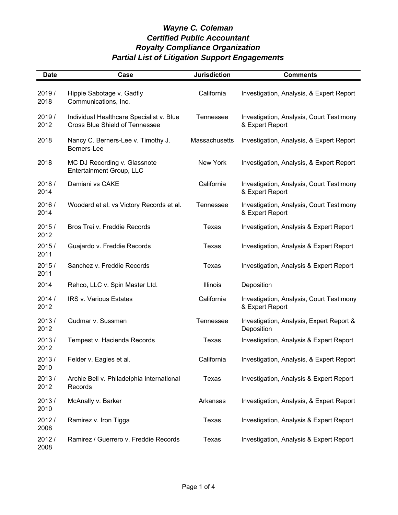| <b>Date</b>    | Case                                                                              | <b>Jurisdiction</b> | <b>Comments</b>                                             |
|----------------|-----------------------------------------------------------------------------------|---------------------|-------------------------------------------------------------|
| 2019/<br>2018  | Hippie Sabotage v. Gadfly<br>Communications, Inc.                                 | California          | Investigation, Analysis, & Expert Report                    |
| 2019 /<br>2012 | Individual Healthcare Specialist v. Blue<br><b>Cross Blue Shield of Tennessee</b> | Tennessee           | Investigation, Analysis, Court Testimony<br>& Expert Report |
| 2018           | Nancy C. Berners-Lee v. Timothy J.<br>Berners-Lee                                 | Massachusetts       | Investigation, Analysis, & Expert Report                    |
| 2018           | MC DJ Recording v. Glassnote<br>Entertainment Group, LLC                          | New York            | Investigation, Analysis, & Expert Report                    |
| 2018/<br>2014  | Damiani vs CAKE                                                                   | California          | Investigation, Analysis, Court Testimony<br>& Expert Report |
| 2016 /<br>2014 | Woodard et al. vs Victory Records et al.                                          | <b>Tennessee</b>    | Investigation, Analysis, Court Testimony<br>& Expert Report |
| 2015/<br>2012  | Bros Trei v. Freddie Records                                                      | Texas               | Investigation, Analysis & Expert Report                     |
| 2015/<br>2011  | Guajardo v. Freddie Records                                                       | Texas               | Investigation, Analysis & Expert Report                     |
| 2015/<br>2011  | Sanchez v. Freddie Records                                                        | Texas               | Investigation, Analysis & Expert Report                     |
| 2014           | Rehco, LLC v. Spin Master Ltd.                                                    | Illinois            | Deposition                                                  |
| 2014/<br>2012  | <b>IRS v. Various Estates</b>                                                     | California          | Investigation, Analysis, Court Testimony<br>& Expert Report |
| 2013/<br>2012  | Gudmar v. Sussman                                                                 | <b>Tennessee</b>    | Investigation, Analysis, Expert Report &<br>Deposition      |
| 2013/<br>2012  | Tempest v. Hacienda Records                                                       | Texas               | Investigation, Analysis & Expert Report                     |
| 2013/<br>2010  | Felder v. Eagles et al.                                                           | California          | Investigation, Analysis, & Expert Report                    |
| 2013/<br>2012  | Archie Bell v. Philadelphia International<br>Records                              | Texas               | Investigation, Analysis & Expert Report                     |
| 2013/<br>2010  | McAnally v. Barker                                                                | Arkansas            | Investigation, Analysis, & Expert Report                    |
| 2012/<br>2008  | Ramirez v. Iron Tigga                                                             | Texas               | Investigation, Analysis & Expert Report                     |
| 2012/<br>2008  | Ramirez / Guerrero v. Freddie Records                                             | Texas               | Investigation, Analysis & Expert Report                     |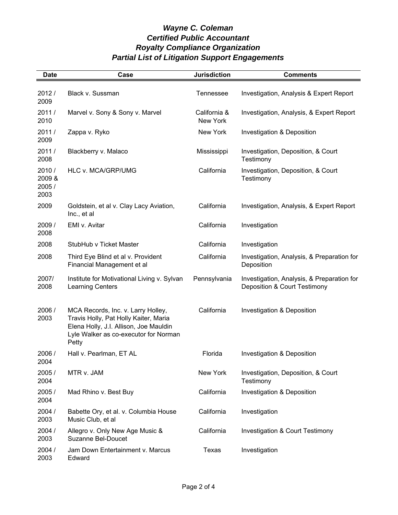| <b>Date</b>                       | Case                                                                                                                                                                    | <b>Jurisdiction</b>      | <b>Comments</b>                                                            |
|-----------------------------------|-------------------------------------------------------------------------------------------------------------------------------------------------------------------------|--------------------------|----------------------------------------------------------------------------|
| 2012/<br>2009                     | Black v. Sussman                                                                                                                                                        | Tennessee                | Investigation, Analysis & Expert Report                                    |
| 2011/<br>2010                     | Marvel v. Sony & Sony v. Marvel                                                                                                                                         | California &<br>New York | Investigation, Analysis, & Expert Report                                   |
| 2011/<br>2009                     | Zappa v. Ryko                                                                                                                                                           | New York                 | Investigation & Deposition                                                 |
| 2011/<br>2008                     | Blackberry v. Malaco                                                                                                                                                    | Mississippi              | Investigation, Deposition, & Court<br>Testimony                            |
| 2010/<br>2009 &<br>2005 /<br>2003 | HLC v. MCA/GRP/UMG                                                                                                                                                      | California               | Investigation, Deposition, & Court<br>Testimony                            |
| 2009                              | Goldstein, et al v. Clay Lacy Aviation,<br>Inc., et al                                                                                                                  | California               | Investigation, Analysis, & Expert Report                                   |
| 2009/<br>2008                     | EMI v. Avitar                                                                                                                                                           | California               | Investigation                                                              |
| 2008                              | StubHub v Ticket Master                                                                                                                                                 | California               | Investigation                                                              |
| 2008                              | Third Eye Blind et al v. Provident<br>Financial Management et al                                                                                                        | California               | Investigation, Analysis, & Preparation for<br>Deposition                   |
| 2007/<br>2008                     | Institute for Motivational Living v. Sylvan<br><b>Learning Centers</b>                                                                                                  | Pennsylvania             | Investigation, Analysis, & Preparation for<br>Deposition & Court Testimony |
| 2006 /<br>2003                    | MCA Records, Inc. v. Larry Holley,<br>Travis Holly, Pat Holly Kaiter, Maria<br>Elena Holly, J.I. Allison, Joe Mauldin<br>Lyle Walker as co-executor for Norman<br>Petty | California               | Investigation & Deposition                                                 |
| 2006 /<br>2004                    | Hall v. Pearlman, ET AL                                                                                                                                                 | Florida                  | Investigation & Deposition                                                 |
| 2005 /<br>2004                    | MTR v. JAM                                                                                                                                                              | New York                 | Investigation, Deposition, & Court<br>Testimony                            |
| 2005 /<br>2004                    | Mad Rhino v. Best Buy                                                                                                                                                   | California               | Investigation & Deposition                                                 |
| 2004 /<br>2003                    | Babette Ory, et al. v. Columbia House<br>Music Club, et al                                                                                                              | California               | Investigation                                                              |
| 2004 /<br>2003                    | Allegro v. Only New Age Music &<br><b>Suzanne Bel-Doucet</b>                                                                                                            | California               | <b>Investigation &amp; Court Testimony</b>                                 |
| 2004 /<br>2003                    | Jam Down Entertainment v. Marcus<br>Edward                                                                                                                              | Texas                    | Investigation                                                              |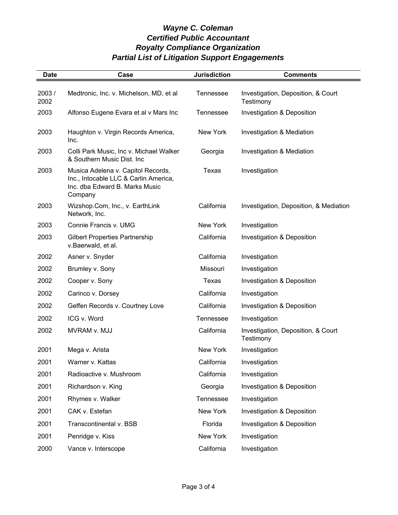| <b>Date</b>   | Case                                                                                                                     | <b>Jurisdiction</b> | <b>Comments</b>                                 |
|---------------|--------------------------------------------------------------------------------------------------------------------------|---------------------|-------------------------------------------------|
| 2003/<br>2002 | Medtronic, Inc. v. Michelson, MD, et al                                                                                  | Tennessee           | Investigation, Deposition, & Court<br>Testimony |
| 2003          | Alfonso Eugene Evara et al v Mars Inc                                                                                    | Tennessee           | Investigation & Deposition                      |
| 2003          | Haughton v. Virgin Records America,<br>Inc.                                                                              | New York            | Investigation & Mediation                       |
| 2003          | Colli Park Music, Inc v. Michael Walker<br>& Southern Music Dist. Inc                                                    | Georgia             | Investigation & Mediation                       |
| 2003          | Musica Adelena v. Capitol Records,<br>Inc., Intocable LLC & Carlin America,<br>Inc. dba Edward B. Marks Music<br>Company | Texas               | Investigation                                   |
| 2003          | Wizshop.Com, Inc., v. EarthLink<br>Network, Inc.                                                                         | California          | Investigation, Deposition, & Mediation          |
| 2003          | Connie Francis v. UMG                                                                                                    | New York            | Investigation                                   |
| 2003          | <b>Gilbert Properties Partnership</b><br>v.Baerwald, et al.                                                              | California          | Investigation & Deposition                      |
| 2002          | Asner v. Snyder                                                                                                          | California          | Investigation                                   |
| 2002          | Brumley v. Sony                                                                                                          | Missouri            | Investigation                                   |
| 2002          | Cooper v. Sony                                                                                                           | Texas               | Investigation & Deposition                      |
| 2002          | Carinco v. Dorsey                                                                                                        | California          | Investigation                                   |
| 2002          | Geffen Records v. Courtney Love                                                                                          | California          | Investigation & Deposition                      |
| 2002          | ICG v. Word                                                                                                              | <b>Tennessee</b>    | Investigation                                   |
| 2002          | MVRAM v. MJJ                                                                                                             | California          | Investigation, Deposition, & Court<br>Testimony |
| 2001          | Mega v. Arista                                                                                                           | New York            | Investigation                                   |
| 2001          | Warner v. Kattas                                                                                                         | California          | Investigation                                   |
| 2001          | Radioactive v. Mushroom                                                                                                  | California          | Investigation                                   |
| 2001          | Richardson v. King                                                                                                       | Georgia             | Investigation & Deposition                      |
| 2001          | Rhymes v. Walker                                                                                                         | Tennessee           | Investigation                                   |
| 2001          | CAK v. Estefan                                                                                                           | New York            | Investigation & Deposition                      |
| 2001          | Transcontinental v. BSB                                                                                                  | Florida             | Investigation & Deposition                      |
| 2001          | Penridge v. Kiss                                                                                                         | New York            | Investigation                                   |
| 2000          | Vance v. Interscope                                                                                                      | California          | Investigation                                   |